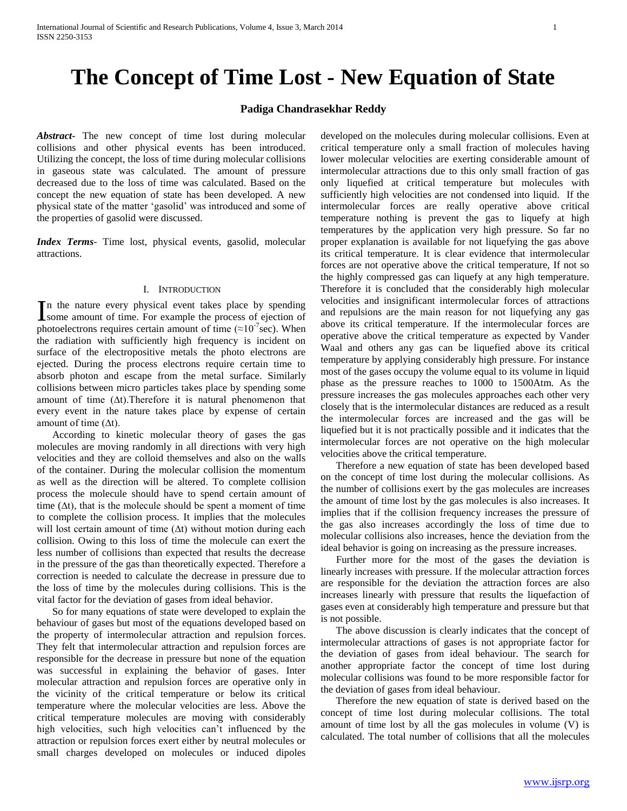# **The Concept of Time Lost - New Equation of State**

## **Padiga Chandrasekhar Reddy**

*Abstract***-** The new concept of time lost during molecular collisions and other physical events has been introduced. Utilizing the concept, the loss of time during molecular collisions in gaseous state was calculated. The amount of pressure decreased due to the loss of time was calculated. Based on the concept the new equation of state has been developed. A new physical state of the matter 'gasolid' was introduced and some of the properties of gasolid were discussed.

*Index Terms*- Time lost, physical events, gasolid, molecular attractions.

### I. INTRODUCTION

n the nature every physical event takes place by spending In the nature every physical event takes place by spending<br>some amount of time. For example the process of ejection of photoelectrons requires certain amount of time  $(\approx 10^{-7}$  sec). When the radiation with sufficiently high frequency is incident on surface of the electropositive metals the photo electrons are ejected. During the process electrons require certain time to absorb photon and escape from the metal surface. Similarly collisions between micro particles takes place by spending some amount of time (∆t).Therefore it is natural phenomenon that every event in the nature takes place by expense of certain amount of time  $(∆t)$ .

 According to kinetic molecular theory of gases the gas molecules are moving randomly in all directions with very high velocities and they are colloid themselves and also on the walls of the container. During the molecular collision the momentum as well as the direction will be altered. To complete collision process the molecule should have to spend certain amount of time  $(\Delta t)$ , that is the molecule should be spent a moment of time to complete the collision process. It implies that the molecules will lost certain amount of time (∆t) without motion during each collision. Owing to this loss of time the molecule can exert the less number of collisions than expected that results the decrease in the pressure of the gas than theoretically expected. Therefore a correction is needed to calculate the decrease in pressure due to the loss of time by the molecules during collisions. This is the vital factor for the deviation of gases from ideal behavior.

 So for many equations of state were developed to explain the behaviour of gases but most of the equations developed based on the property of intermolecular attraction and repulsion forces. They felt that intermolecular attraction and repulsion forces are responsible for the decrease in pressure but none of the equation was successful in explaining the behavior of gases. Inter molecular attraction and repulsion forces are operative only in the vicinity of the critical temperature or below its critical temperature where the molecular velocities are less. Above the critical temperature molecules are moving with considerably high velocities, such high velocities can't influenced by the attraction or repulsion forces exert either by neutral molecules or small charges developed on molecules or induced dipoles

developed on the molecules during molecular collisions. Even at critical temperature only a small fraction of molecules having lower molecular velocities are exerting considerable amount of intermolecular attractions due to this only small fraction of gas only liquefied at critical temperature but molecules with sufficiently high velocities are not condensed into liquid. If the intermolecular forces are really operative above critical temperature nothing is prevent the gas to liquefy at high temperatures by the application very high pressure. So far no proper explanation is available for not liquefying the gas above its critical temperature. It is clear evidence that intermolecular forces are not operative above the critical temperature, If not so the highly compressed gas can liquefy at any high temperature. Therefore it is concluded that the considerably high molecular velocities and insignificant intermolecular forces of attractions and repulsions are the main reason for not liquefying any gas above its critical temperature. If the intermolecular forces are operative above the critical temperature as expected by Vander Waal and others any gas can be liquefied above its critical temperature by applying considerably high pressure. For instance most of the gases occupy the volume equal to its volume in liquid phase as the pressure reaches to 1000 to 1500Atm. As the pressure increases the gas molecules approaches each other very closely that is the intermolecular distances are reduced as a result the intermolecular forces are increased and the gas will be liquefied but it is not practically possible and it indicates that the intermolecular forces are not operative on the high molecular velocities above the critical temperature.

 Therefore a new equation of state has been developed based on the concept of time lost during the molecular collisions. As the number of collisions exert by the gas molecules are increases the amount of time lost by the gas molecules is also increases. It implies that if the collision frequency increases the pressure of the gas also increases accordingly the loss of time due to molecular collisions also increases, hence the deviation from the ideal behavior is going on increasing as the pressure increases.

 Further more for the most of the gases the deviation is linearly increases with pressure. If the molecular attraction forces are responsible for the deviation the attraction forces are also increases linearly with pressure that results the liquefaction of gases even at considerably high temperature and pressure but that is not possible.

 The above discussion is clearly indicates that the concept of intermolecular attractions of gases is not appropriate factor for the deviation of gases from ideal behaviour. The search for another appropriate factor the concept of time lost during molecular collisions was found to be more responsible factor for the deviation of gases from ideal behaviour.

 Therefore the new equation of state is derived based on the concept of time lost during molecular collisions. The total amount of time lost by all the gas molecules in volume (V) is calculated. The total number of collisions that all the molecules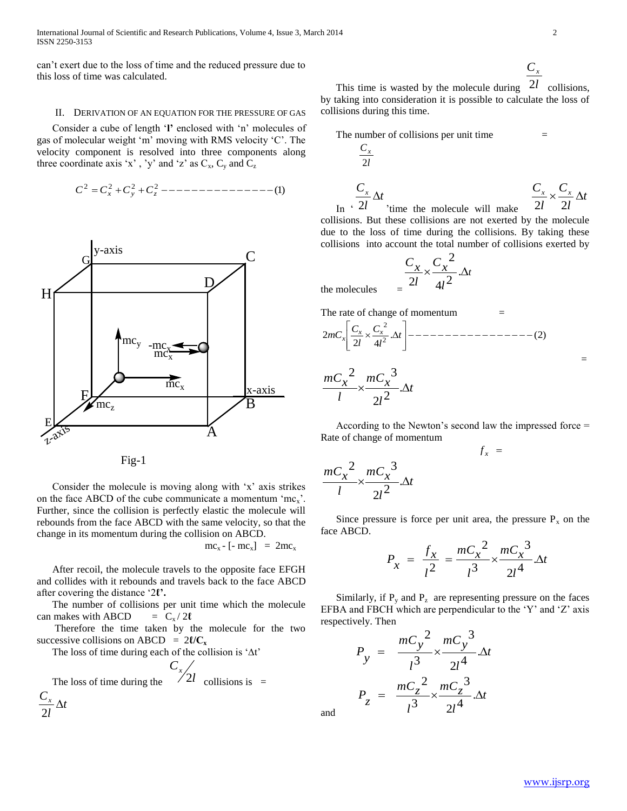International Journal of Scientific and Research Publications, Volume 4, Issue 3, March 2014 2 ISSN 2250-3153

can't exert due to the loss of time and the reduced pressure due to this loss of time was calculated.

#### II. DERIVATION OF AN EQUATION FOR THE PRESSURE OF GAS

 Consider a cube of length '**l'** enclosed with 'n' molecules of gas of molecular weight 'm' moving with RMS velocity 'C'. The velocity component is resolved into three components along three coordinate axis 'x', 'y' and 'z' as  $C_x$ ,  $C_y$  and  $C_z$ 

(1) <sup>2</sup> <sup>2</sup> <sup>2</sup> <sup>2</sup> *C C<sup>x</sup> C<sup>y</sup> C<sup>z</sup>*





 Consider the molecule is moving along with 'x' axis strikes on the face ABCD of the cube communicate a momentum  $\text{`mc}_x$ '. Further, since the collision is perfectly elastic the molecule will rebounds from the face ABCD with the same velocity, so that the change in its momentum during the collision on ABCD.

$$
mc_x - [-mc_x] = 2mc_x
$$

 After recoil, the molecule travels to the opposite face EFGH and collides with it rebounds and travels back to the face ABCD after covering the distance '2**ℓ'.**

 The number of collisions per unit time which the molecule can makes with ABCD  $= C_x / 2l$ 

 Therefore the time taken by the molecule for the two successive collisions on ABCD =  $2\ell/C_{\bf x}$ 

The loss of time during each of the collision is '∆t'

The loss of time during the  $\sqrt{2l}$ *Cx* 2*l* collisions is  $=$ *t l*  $\frac{C_x}{\cdot}$   $\Delta$ 2

$$
\frac{C_x}{2l}
$$

=

This time is wasted by the molecule during  $2l$  collisions, by taking into consideration it is possible to calculate the loss of collisions during this time.



*t l*  $\frac{C_x}{\sigma^2}$  $\Delta$ 'time the molecule will make *t l C l*  $\frac{C_x}{C_x} \times \frac{C_x}{C_x} \Delta$  $2l$  2l  $\rightarrow$ 

 In ' collisions. But these collisions are not exerted by the molecule due to the loss of time during the collisions. By taking these collisions into account the total number of collisions exerted by

$$
=\frac{C_x}{2l} \times \frac{C_x^2}{4l^2} \cdot \Delta t
$$

The rate of change of momentum

. (2) 2 4 2 2 2 *t l C l C mC <sup>x</sup> <sup>x</sup> x*

$$
\frac{mC_x^2}{l} \times \frac{mC_x^3}{2l^2} \Delta t
$$

the molecules

 According to the Newton's second law the impressed force = Rate of change of momentum

 $f_x$  =

$$
\frac{mC_x^2}{l} \times \frac{mC_x^3}{2l^2} \Delta t
$$

Since pressure is force per unit area, the pressure  $P_x$  on the face ABCD.

$$
P_x = \frac{f_x}{l^2} = \frac{mC_x^2}{l^3} \times \frac{mC_x^3}{2l^4} \Delta t
$$

Similarly, if  $P_y$  and  $P_z$  are representing pressure on the faces EFBA and FBCH which are perpendicular to the 'Y' and 'Z' axis respectively. Then

$$
P_{y} = \frac{mC_{y}^{2}}{l^{3}} \times \frac{mC_{y}^{3}}{2l^{4}} \Delta t
$$

$$
P_{z} = \frac{mC_{z}^{2}}{l^{3}} \times \frac{mC_{z}^{3}}{2l^{4}} \Delta t
$$

and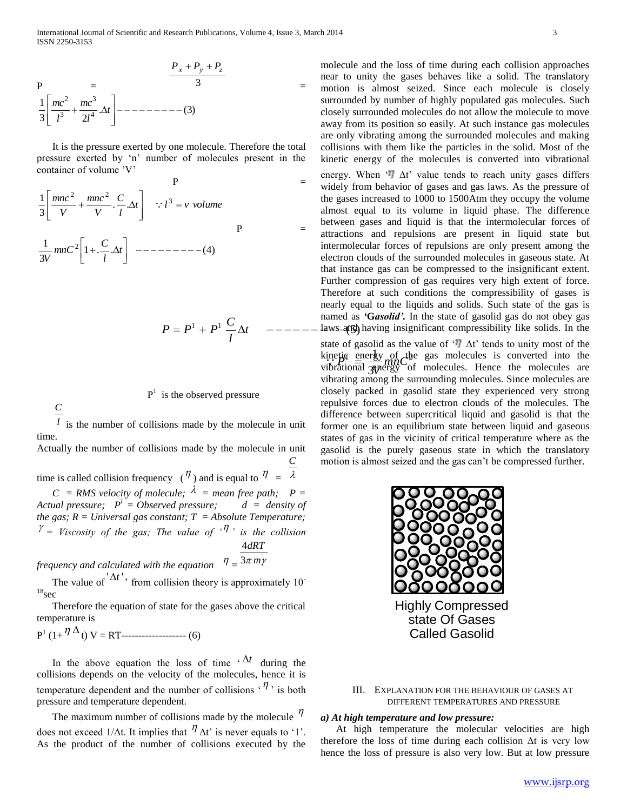$$
P = \frac{P_x + P_y + P_z}{3} = \frac{1}{3} \left[ \frac{mc^2}{l^3} + \frac{mc^3}{2l^4} \Delta t \right] - \cdots - \cdots - \cdots - (3)
$$

 It is the pressure exerted by one molecule. Therefore the total pressure exerted by 'n' number of molecules present in the container of volume 'V'

P  
\n
$$
\frac{1}{3} \left[ \frac{mnc^2}{V} + \frac{mnc^2}{V} \cdot \frac{C}{l} \Delta t \right] \quad \therefore l^3 = v \text{ volume}
$$
\nP  
\n
$$
\frac{1}{3V} mnc^2 \left[ 1 + \frac{C}{l} \Delta t \right] \quad -- - - - - - - - - (4)
$$

$$
P = P^1 + P^1 \frac{C}{l} \Delta t \quad ---
$$

 $P<sup>1</sup>$  is the observed pressure

*C*

 $l$  is the number of collisions made by the molecule in unit time.

Actually the number of collisions made by the molecule in unit *C*

time is called collision frequency  $(\eta)$  and is equal to  $\eta = \lambda$  $C = RMS$  velocity of molecule;  $\lambda$  = mean free path; P =

*Actual pressure;*  $P^l = Observed pressure$ ;  $d = density of$ *the gas;*  $R = Universal$  *gas constant; T = Absolute Temperature;*  $\gamma = V$ *iscosity of the gas; The value of*  $\gamma$ <sup>*n*</sup>, *is the collision dRT* 4

frequency and calculated with the equation  $\theta = \frac{3\pi m\gamma}{2m}$ 

The value of  $\Delta t'$ , from collision theory is approximately 10<sup>-</sup>  $18$ sec

 Therefore the equation of state for the gases above the critical temperature is

$$
P^{1} (1 + \frac{\eta \Delta}{t}) V = RT
$$

In the above equation the loss of time  $\Delta t$  during the collisions depends on the velocity of the molecules, hence it is temperature dependent and the number of collisions  $\cdot \eta$ , is both pressure and temperature dependent.

The maximum number of collisions made by the molecule  $\eta$ does not exceed 1/ $\Delta t$ . It implies that  $\eta \Delta t$  is never equals to '1'. As the product of the number of collisions executed by the

 $= P^{1} + P^{1}$   $\frac{C}{A} \Delta t$   $--- -\frac{L}{B}$  =  $\frac{L}{B}$  =  $\frac{L}{C}$  =  $\frac{L}{C}$  =  $\frac{L}{C}$  =  $\frac{L}{C}$  =  $\frac{L}{C}$  =  $\frac{L}{C}$  =  $\frac{L}{C}$  =  $\frac{L}{C}$  =  $\frac{L}{C}$  =  $\frac{L}{C}$  =  $\frac{L}{C}$  =  $\frac{L}{C}$  =  $\frac{L}{C}$  =  $\frac{L}{C}$  = molecule and the loss of time during each collision approaches near to unity the gases behaves like a solid. The translatory motion is almost seized. Since each molecule is closely surrounded by number of highly populated gas molecules. Such closely surrounded molecules do not allow the molecule to move away from its position so easily. At such instance gas molecules are only vibrating among the surrounded molecules and making collisions with them like the particles in the solid. Most of the kinetic energy of the molecules is converted into vibrational energy. When  $\mathbf{u}$   $\Delta t$ ' value tends to reach unity gases differs widely from behavior of gases and gas laws. As the pressure of the gases increased to 1000 to 1500Atm they occupy the volume almost equal to its volume in liquid phase. The difference between gases and liquid is that the intermolecular forces of attractions and repulsions are present in liquid state but intermolecular forces of repulsions are only present among the electron clouds of the surrounded molecules in gaseous state. At that instance gas can be compressed to the insignificant extent. Further compression of gas requires very high extent of force. Therefore at such conditions the compressibility of gases is nearly equal to the liquids and solids. Such state of the gas is named as *'***G***asolid'.* In the state of gasolid gas do not obey gas

> $\mathfrak{g}$  energy of  $\mathcal{A}$ 3  $\frac{1}{2}$   $\frac{1}{2}$   $\frac{1}{2}$   $\frac{1}{2}$   $\frac{1}{2}$   $\frac{1}{2}$   $\frac{1}{2}$   $\frac{1}{2}$   $\frac{1}{2}$   $\frac{1}{2}$   $\frac{1}{2}$   $\frac{1}{2}$   $\frac{1}{2}$   $\frac{1}{2}$   $\frac{1}{2}$   $\frac{1}{2}$   $\frac{1}{2}$   $\frac{1}{2}$   $\frac{1}{2}$   $\frac{1}{2}$   $\frac{1}{2}$   $\frac{1}{2}$  *V* kinetic energy of the gas molecules is converted into the<br>
> vibrational **annual** of molecules. Hence the molecules are state of gasolid as the value of ' $\eta$   $\Delta t$ ' tends to unity most of the vibrational  $\alpha$  energy of molecules. Hence the molecules are vibrating among the surrounding molecules. Since molecules are closely packed in gasolid state they experienced very strong repulsive forces due to electron clouds of the molecules. The difference between supercritical liquid and gasolid is that the former one is an equilibrium state between liquid and gaseous states of gas in the vicinity of critical temperature where as the gasolid is the purely gaseous state in which the translatory motion is almost seized and the gas can't be compressed further.



III. EXPLANATION FOR THE BEHAVIOUR OF GASES AT DIFFERENT TEMPERATURES AND PRESSURE

### *a) At high temperature and low pressure:*

 At high temperature the molecular velocities are high therefore the loss of time during each collision  $\Delta t$  is very low hence the loss of pressure is also very low. But at low pressure